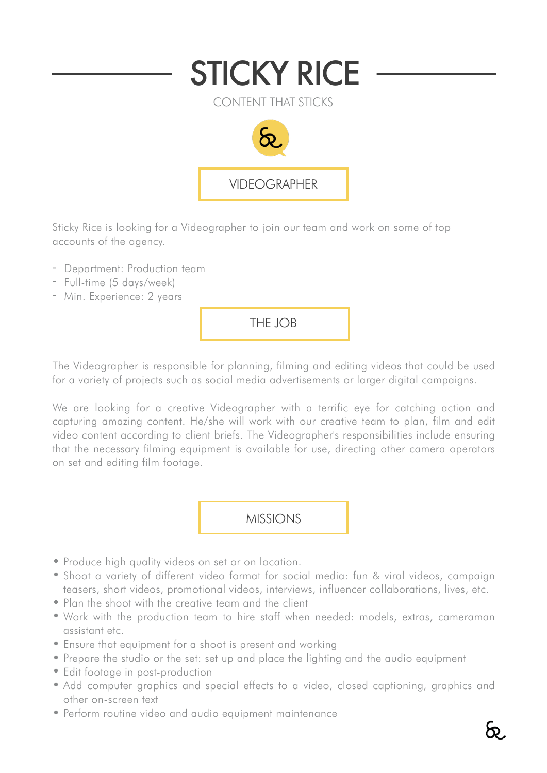

Sticky Rice is looking for a Videographer to join our team and work on some of top accounts of the agency.

- Department: Production team
- Full-time (5 days/week)
- Min. Experience: 2 years

THE JOB

The Videographer is responsible for planning, filming and editing videos that could be used for a variety of projects such as social media advertisements or larger digital campaigns.

We are looking for a creative Videographer with a terrific eve for catching action and capturing amazing content. He/she will work with our creative team to plan, film and edit video content according to client briefs. The Videographer's responsibilities include ensuring that the necessary filming equipment is available for use, directing other camera operators on set and editing film footage.

MISSIONS

- Produce high quality videos on set or on location.
- Shoot a variety of different video format for social media: fun & viral videos, campaign teasers, short videos, promotional videos, interviews, influencer collaborations, lives, etc.
- Plan the shoot with the creative team and the client
- Work with the production team to hire staff when needed: models, extras, cameraman assistant etc.
- Ensure that equipment for a shoot is present and working
- Prepare the studio or the set: set up and place the lighting and the audio equipment
- Edit footage in post-production
- Add computer graphics and special effects to a video, closed captioning, graphics and other on-screen text
- Perform routine video and audio equipment maintenance